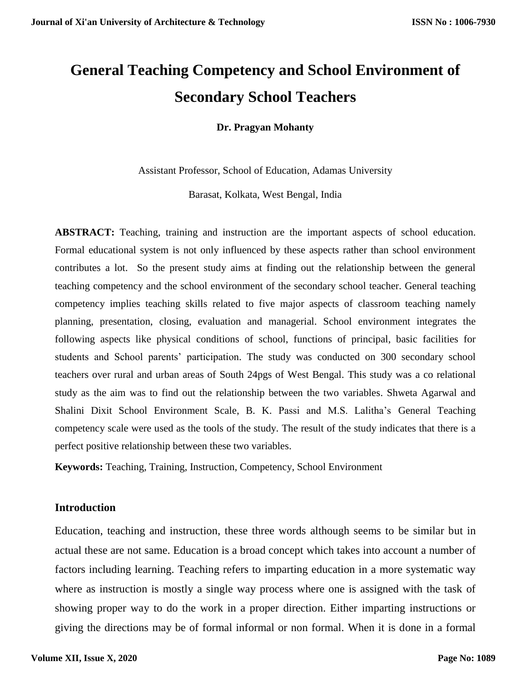# **General Teaching Competency and School Environment of Secondary School Teachers**

**Dr. Pragyan Mohanty**

Assistant Professor, School of Education, Adamas University

Barasat, Kolkata, West Bengal, India

**ABSTRACT:** Teaching, training and instruction are the important aspects of school education. Formal educational system is not only influenced by these aspects rather than school environment contributes a lot. So the present study aims at finding out the relationship between the general teaching competency and the school environment of the secondary school teacher. General teaching competency implies teaching skills related to five major aspects of classroom teaching namely planning, presentation, closing, evaluation and managerial. School environment integrates the following aspects like physical conditions of school, functions of principal, basic facilities for students and School parents' participation. The study was conducted on 300 secondary school teachers over rural and urban areas of South 24pgs of West Bengal. This study was a co relational study as the aim was to find out the relationship between the two variables. Shweta Agarwal and Shalini Dixit School Environment Scale, B. K. Passi and M.S. Lalitha's General Teaching competency scale were used as the tools of the study. The result of the study indicates that there is a perfect positive relationship between these two variables.

**Keywords:** Teaching, Training, Instruction, Competency, School Environment

## **Introduction**

Education, teaching and instruction, these three words although seems to be similar but in actual these are not same. Education is a broad concept which takes into account a number of factors including learning. Teaching refers to imparting education in a more systematic way where as instruction is mostly a single way process where one is assigned with the task of showing proper way to do the work in a proper direction. Either imparting instructions or giving the directions may be of formal informal or non formal. When it is done in a formal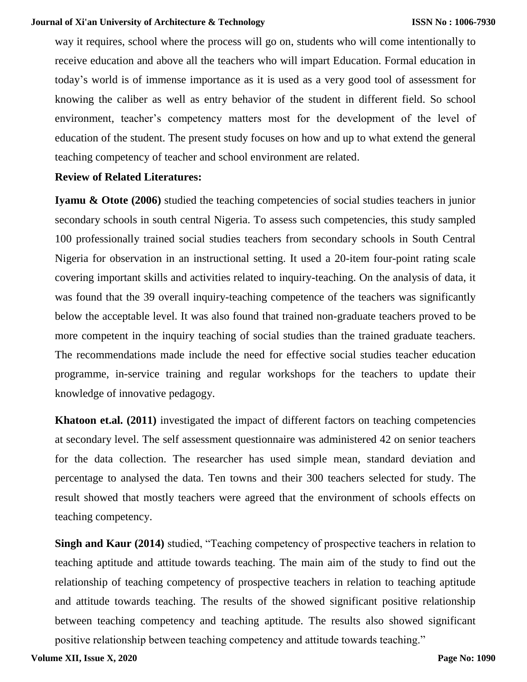way it requires, school where the process will go on, students who will come intentionally to receive education and above all the teachers who will impart Education. Formal education in today's world is of immense importance as it is used as a very good tool of assessment for knowing the caliber as well as entry behavior of the student in different field. So school environment, teacher's competency matters most for the development of the level of education of the student. The present study focuses on how and up to what extend the general teaching competency of teacher and school environment are related.

## **Review of Related Literatures:**

**Iyamu & Otote (2006)** studied the teaching competencies of social studies teachers in junior secondary schools in south central Nigeria. To assess such competencies, this study sampled 100 professionally trained social studies teachers from secondary schools in South Central Nigeria for observation in an instructional setting. It used a 20-item four-point rating scale covering important skills and activities related to inquiry-teaching. On the analysis of data, it was found that the 39 overall inquiry-teaching competence of the teachers was significantly below the acceptable level. It was also found that trained non-graduate teachers proved to be more competent in the inquiry teaching of social studies than the trained graduate teachers. The recommendations made include the need for effective social studies teacher education programme, in-service training and regular workshops for the teachers to update their knowledge of innovative pedagogy.

**Khatoon et.al. (2011)** investigated the impact of different factors on teaching competencies at secondary level. The self assessment questionnaire was administered 42 on senior teachers for the data collection. The researcher has used simple mean, standard deviation and percentage to analysed the data. Ten towns and their 300 teachers selected for study. The result showed that mostly teachers were agreed that the environment of schools effects on teaching competency.

**Singh and Kaur (2014)** studied, "Teaching competency of prospective teachers in relation to teaching aptitude and attitude towards teaching. The main aim of the study to find out the relationship of teaching competency of prospective teachers in relation to teaching aptitude and attitude towards teaching. The results of the showed significant positive relationship between teaching competency and teaching aptitude. The results also showed significant positive relationship between teaching competency and attitude towards teaching."

**Volume XII, Issue X, 2020**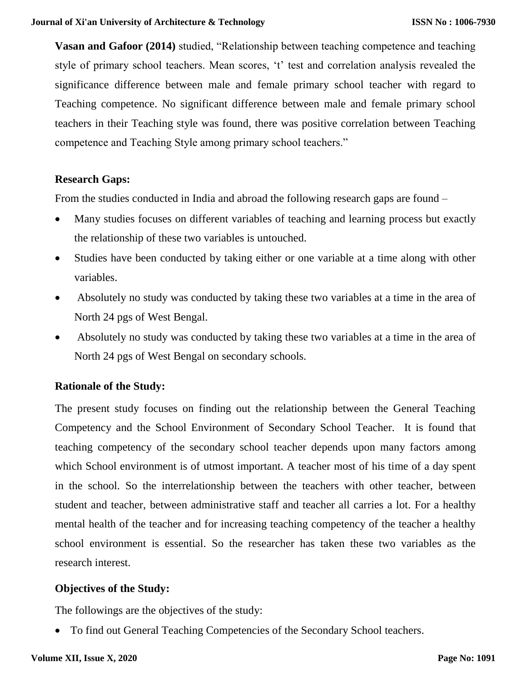**Vasan and Gafoor (2014)** studied, "Relationship between teaching competence and teaching style of primary school teachers. Mean scores, 't' test and correlation analysis revealed the significance difference between male and female primary school teacher with regard to Teaching competence. No significant difference between male and female primary school teachers in their Teaching style was found, there was positive correlation between Teaching competence and Teaching Style among primary school teachers."

## **Research Gaps:**

From the studies conducted in India and abroad the following research gaps are found –

- Many studies focuses on different variables of teaching and learning process but exactly the relationship of these two variables is untouched.
- Studies have been conducted by taking either or one variable at a time along with other variables.
- Absolutely no study was conducted by taking these two variables at a time in the area of North 24 pgs of West Bengal.
- Absolutely no study was conducted by taking these two variables at a time in the area of North 24 pgs of West Bengal on secondary schools.

#### **Rationale of the Study:**

The present study focuses on finding out the relationship between the General Teaching Competency and the School Environment of Secondary School Teacher. It is found that teaching competency of the secondary school teacher depends upon many factors among which School environment is of utmost important. A teacher most of his time of a day spent in the school. So the interrelationship between the teachers with other teacher, between student and teacher, between administrative staff and teacher all carries a lot. For a healthy mental health of the teacher and for increasing teaching competency of the teacher a healthy school environment is essential. So the researcher has taken these two variables as the research interest.

## **Objectives of the Study:**

The followings are the objectives of the study:

• To find out General Teaching Competencies of the Secondary School teachers.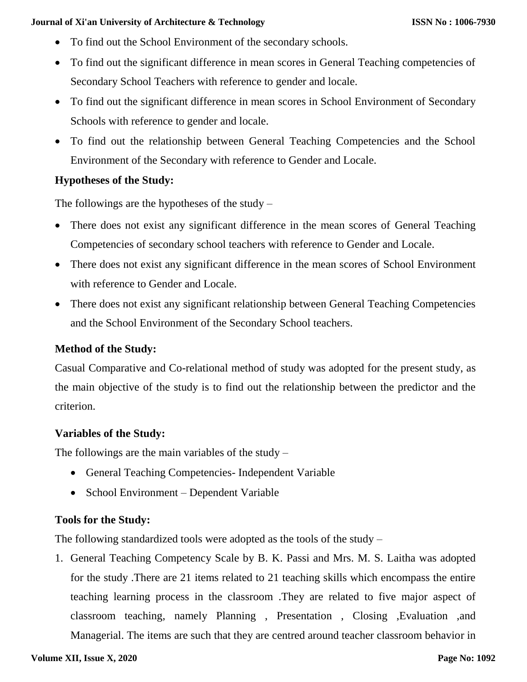- To find out the School Environment of the secondary schools.
- To find out the significant difference in mean scores in General Teaching competencies of Secondary School Teachers with reference to gender and locale.
- To find out the significant difference in mean scores in School Environment of Secondary Schools with reference to gender and locale.
- To find out the relationship between General Teaching Competencies and the School Environment of the Secondary with reference to Gender and Locale.

# **Hypotheses of the Study:**

The followings are the hypotheses of the study  $-$ 

- There does not exist any significant difference in the mean scores of General Teaching Competencies of secondary school teachers with reference to Gender and Locale.
- There does not exist any significant difference in the mean scores of School Environment with reference to Gender and Locale.
- There does not exist any significant relationship between General Teaching Competencies and the School Environment of the Secondary School teachers.

## **Method of the Study:**

Casual Comparative and Co-relational method of study was adopted for the present study, as the main objective of the study is to find out the relationship between the predictor and the criterion.

## **Variables of the Study:**

The followings are the main variables of the study  $-$ 

- General Teaching Competencies- Independent Variable
- School Environment Dependent Variable

# **Tools for the Study:**

The following standardized tools were adopted as the tools of the study –

1. General Teaching Competency Scale by B. K. Passi and Mrs. M. S. Laitha was adopted for the study .There are 21 items related to 21 teaching skills which encompass the entire teaching learning process in the classroom .They are related to five major aspect of classroom teaching, namely Planning , Presentation , Closing ,Evaluation ,and Managerial. The items are such that they are centred around teacher classroom behavior in

#### **Volume XII, Issue X, 2020**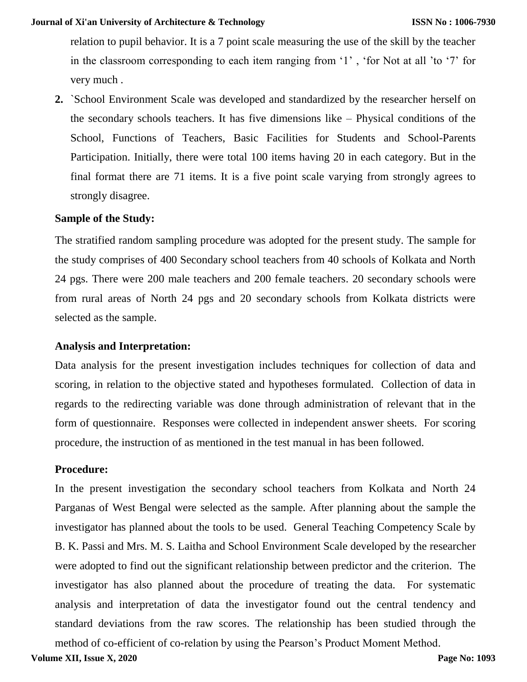relation to pupil behavior. It is a 7 point scale measuring the use of the skill by the teacher in the classroom corresponding to each item ranging from '1' , 'for Not at all 'to '7' for very much .

**2.** `School Environment Scale was developed and standardized by the researcher herself on the secondary schools teachers. It has five dimensions like – Physical conditions of the School, Functions of Teachers, Basic Facilities for Students and School-Parents Participation. Initially, there were total 100 items having 20 in each category. But in the final format there are 71 items. It is a five point scale varying from strongly agrees to strongly disagree.

## **Sample of the Study:**

The stratified random sampling procedure was adopted for the present study. The sample for the study comprises of 400 Secondary school teachers from 40 schools of Kolkata and North 24 pgs. There were 200 male teachers and 200 female teachers. 20 secondary schools were from rural areas of North 24 pgs and 20 secondary schools from Kolkata districts were selected as the sample.

## **Analysis and Interpretation:**

Data analysis for the present investigation includes techniques for collection of data and scoring, in relation to the objective stated and hypotheses formulated. Collection of data in regards to the redirecting variable was done through administration of relevant that in the form of questionnaire. Responses were collected in independent answer sheets. For scoring procedure, the instruction of as mentioned in the test manual in has been followed.

## **Procedure:**

In the present investigation the secondary school teachers from Kolkata and North 24 Parganas of West Bengal were selected as the sample. After planning about the sample the investigator has planned about the tools to be used. General Teaching Competency Scale by B. K. Passi and Mrs. M. S. Laitha and School Environment Scale developed by the researcher were adopted to find out the significant relationship between predictor and the criterion. The investigator has also planned about the procedure of treating the data. For systematic analysis and interpretation of data the investigator found out the central tendency and standard deviations from the raw scores. The relationship has been studied through the method of co-efficient of co-relation by using the Pearson's Product Moment Method.

**Volume XII, Issue X, 2020**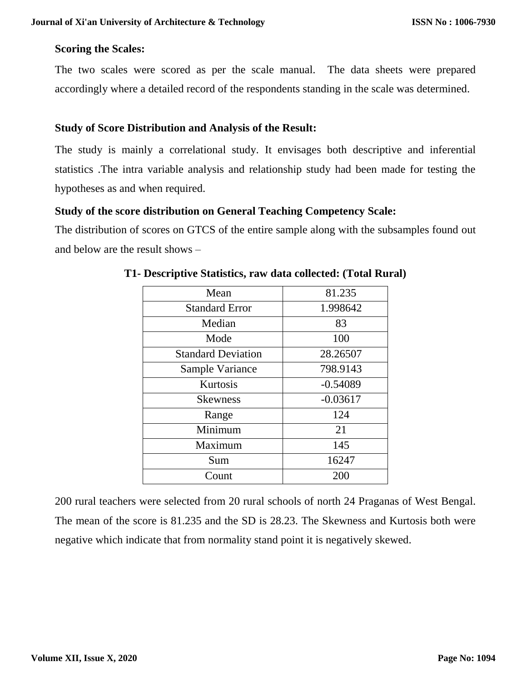#### **Scoring the Scales:**

The two scales were scored as per the scale manual. The data sheets were prepared accordingly where a detailed record of the respondents standing in the scale was determined.

#### **Study of Score Distribution and Analysis of the Result:**

The study is mainly a correlational study. It envisages both descriptive and inferential statistics .The intra variable analysis and relationship study had been made for testing the hypotheses as and when required.

#### **Study of the score distribution on General Teaching Competency Scale:**

The distribution of scores on GTCS of the entire sample along with the subsamples found out and below are the result shows –

| Mean                      | 81.235     |
|---------------------------|------------|
| <b>Standard Error</b>     | 1.998642   |
| Median                    | 83         |
| Mode                      | 100        |
| <b>Standard Deviation</b> | 28.26507   |
| Sample Variance           | 798.9143   |
| Kurtosis                  | $-0.54089$ |
| <b>Skewness</b>           | $-0.03617$ |
| Range                     | 124        |
| Minimum                   | 21         |
| Maximum                   | 145        |
| Sum                       | 16247      |
| Count                     | 200        |

#### **T1- Descriptive Statistics, raw data collected: (Total Rural)**

200 rural teachers were selected from 20 rural schools of north 24 Praganas of West Bengal. The mean of the score is 81.235 and the SD is 28.23. The Skewness and Kurtosis both were negative which indicate that from normality stand point it is negatively skewed.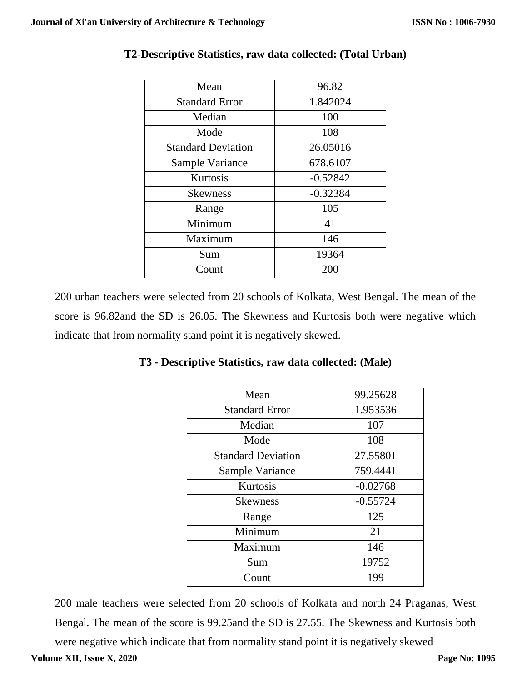| Mean                      | 96.82      |
|---------------------------|------------|
| <b>Standard Error</b>     | 1.842024   |
| Median                    | 100        |
| Mode                      | 108        |
| <b>Standard Deviation</b> | 26.05016   |
| Sample Variance           | 678.6107   |
| Kurtosis                  | $-0.52842$ |
| <b>Skewness</b>           | $-0.32384$ |
| Range                     | 105        |
| Minimum                   | 41         |
| Maximum                   | 146        |
| Sum                       | 19364      |
| Count                     | 200        |

# **T2-Descriptive Statistics, raw data collected: (Total Urban)**

200 urban teachers were selected from 20 schools of Kolkata, West Bengal. The mean of the score is 96.82and the SD is 26.05. The Skewness and Kurtosis both were negative which indicate that from normality stand point it is negatively skewed.

**T3 - Descriptive Statistics, raw data collected: (Male)**

| Mean                  | 99.25628 |
|-----------------------|----------|
| <b>Standard Error</b> | 1.953536 |
| $M = 11 - 1$          | 1 A V 7  |

| Mean                      | 99.25628   |
|---------------------------|------------|
| <b>Standard Error</b>     | 1.953536   |
| Median                    | 107        |
| Mode                      | 108        |
| <b>Standard Deviation</b> | 27.55801   |
| Sample Variance           | 759.4441   |
| Kurtosis                  | $-0.02768$ |
| <b>Skewness</b>           | $-0.55724$ |
| Range                     | 125        |
| Minimum                   | 21         |
| Maximum                   | 146        |
| Sum                       | 19752      |
| Count                     | 199        |

200 male teachers were selected from 20 schools of Kolkata and north 24 Praganas, West Bengal. The mean of the score is 99.25and the SD is 27.55. The Skewness and Kurtosis both were negative which indicate that from normality stand point it is negatively skewed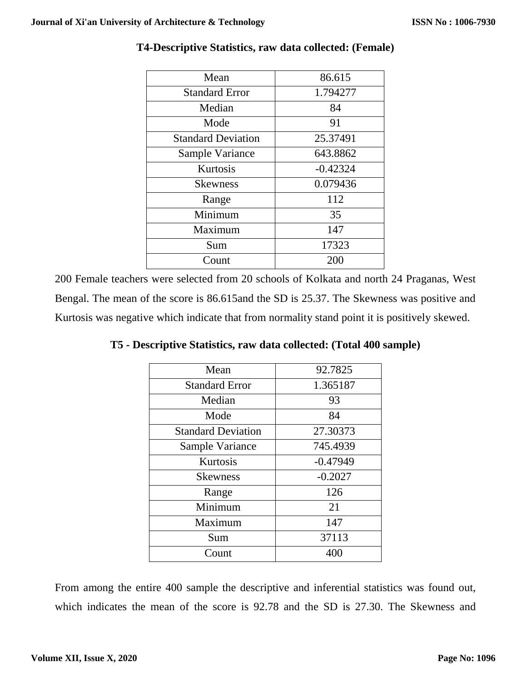| Mean                      | 86.615     |
|---------------------------|------------|
| <b>Standard Error</b>     | 1.794277   |
| Median                    | 84         |
| Mode                      | 91         |
| <b>Standard Deviation</b> | 25.37491   |
| Sample Variance           | 643.8862   |
| Kurtosis                  | $-0.42324$ |
| <b>Skewness</b>           | 0.079436   |
| Range                     | 112        |
| Minimum                   | 35         |
| Maximum                   | 147        |
| Sum                       | 17323      |
| Count                     | 200        |

# **T4-Descriptive Statistics, raw data collected: (Female)**

200 Female teachers were selected from 20 schools of Kolkata and north 24 Praganas, West Bengal. The mean of the score is 86.615and the SD is 25.37. The Skewness was positive and Kurtosis was negative which indicate that from normality stand point it is positively skewed.

| Mean                      | 92.7825    |
|---------------------------|------------|
| <b>Standard Error</b>     | 1.365187   |
| Median                    | 93         |
| Mode                      | 84         |
| <b>Standard Deviation</b> | 27.30373   |
| Sample Variance           | 745.4939   |
| Kurtosis                  | $-0.47949$ |
| <b>Skewness</b>           | $-0.2027$  |
| Range                     | 126        |
| Minimum                   | 21         |
| Maximum                   | 147        |
| Sum                       | 37113      |
| Count                     | 400        |

**T5 - Descriptive Statistics, raw data collected: (Total 400 sample)**

From among the entire 400 sample the descriptive and inferential statistics was found out, which indicates the mean of the score is 92.78 and the SD is 27.30. The Skewness and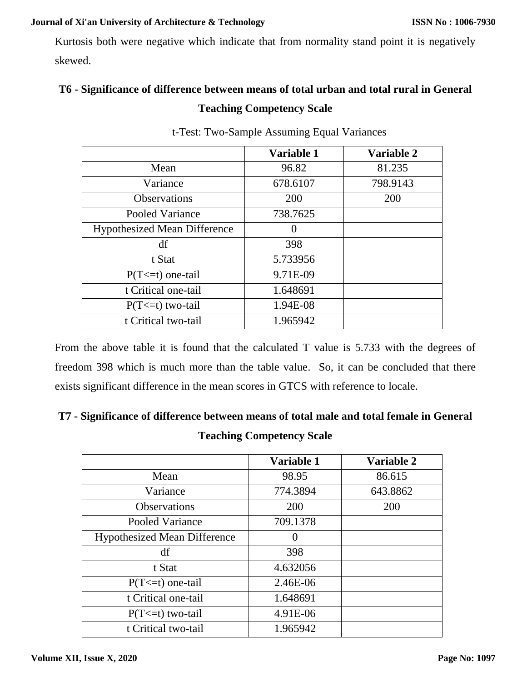Kurtosis both were negative which indicate that from normality stand point it is negatively skewed.

# **T6 - Significance of difference between means of total urban and total rural in General Teaching Competency Scale**

|                                     | Variable 1 | Variable 2 |
|-------------------------------------|------------|------------|
| Mean                                | 96.82      | 81.235     |
| Variance                            | 678.6107   | 798.9143   |
| <b>Observations</b>                 | 200        | 200        |
| Pooled Variance                     | 738.7625   |            |
| <b>Hypothesized Mean Difference</b> |            |            |
| df                                  | 398        |            |
| t Stat                              | 5.733956   |            |
| $P(T \le t)$ one-tail               | 9.71E-09   |            |
| t Critical one-tail                 | 1.648691   |            |
| $P(T \le t)$ two-tail               | 1.94E-08   |            |
| t Critical two-tail                 | 1.965942   |            |

t-Test: Two-Sample Assuming Equal Variances

From the above table it is found that the calculated T value is 5.733 with the degrees of freedom 398 which is much more than the table value. So, it can be concluded that there exists significant difference in the mean scores in GTCS with reference to locale.

# **T7 - Significance of difference between means of total male and total female in General Teaching Competency Scale**

|                                     | Variable 1        | Variable 2 |
|-------------------------------------|-------------------|------------|
| Mean                                | 98.95             | 86.615     |
| Variance                            | 774.3894          | 643.8862   |
| <b>Observations</b>                 | 200               | 200        |
| Pooled Variance                     | 709.1378          |            |
| <b>Hypothesized Mean Difference</b> | $\mathbf{\Omega}$ |            |
| df                                  | 398               |            |
| t Stat                              | 4.632056          |            |
| $P(T \le t)$ one-tail               | 2.46E-06          |            |
| t Critical one-tail                 | 1.648691          |            |
| $P(T \le t)$ two-tail               | 4.91E-06          |            |
| t Critical two-tail                 | 1.965942          |            |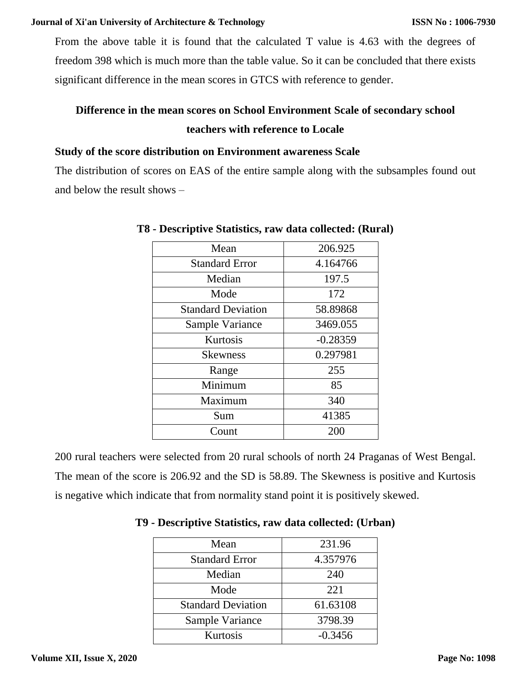From the above table it is found that the calculated T value is 4.63 with the degrees of freedom 398 which is much more than the table value. So it can be concluded that there exists significant difference in the mean scores in GTCS with reference to gender.

# **Difference in the mean scores on School Environment Scale of secondary school teachers with reference to Locale**

# **Study of the score distribution on Environment awareness Scale**

The distribution of scores on EAS of the entire sample along with the subsamples found out and below the result shows –

| Mean                      | 206.925    |
|---------------------------|------------|
| <b>Standard Error</b>     | 4.164766   |
| Median                    | 197.5      |
| Mode                      | 172        |
| <b>Standard Deviation</b> | 58.89868   |
| Sample Variance           | 3469.055   |
| Kurtosis                  | $-0.28359$ |
| <b>Skewness</b>           | 0.297981   |
| Range                     | 255        |
| Minimum                   | 85         |
| Maximum                   | 340        |
| Sum                       | 41385      |
| Count                     | 200        |

**T8 - Descriptive Statistics, raw data collected: (Rural)**

200 rural teachers were selected from 20 rural schools of north 24 Praganas of West Bengal. The mean of the score is 206.92 and the SD is 58.89. The Skewness is positive and Kurtosis is negative which indicate that from normality stand point it is positively skewed.

| Mean                      | 231.96    |
|---------------------------|-----------|
| <b>Standard Error</b>     | 4.357976  |
| Median                    | 240       |
| Mode                      | 221       |
| <b>Standard Deviation</b> | 61.63108  |
| Sample Variance           | 3798.39   |
| Kurtosis                  | $-0.3456$ |

**T9 - Descriptive Statistics, raw data collected: (Urban)**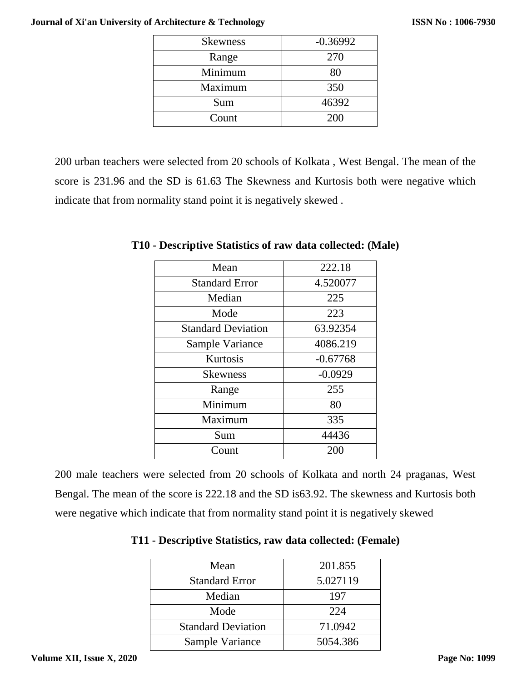| <b>Skewness</b> | $-0.36992$ |
|-----------------|------------|
| Range           | 270        |
| Minimum         | 80         |
| Maximum         | 350        |
| Sum             | 46392      |
| Count           | 200        |

200 urban teachers were selected from 20 schools of Kolkata , West Bengal. The mean of the score is 231.96 and the SD is 61.63 The Skewness and Kurtosis both were negative which indicate that from normality stand point it is negatively skewed .

| Mean                      | 222.18     |
|---------------------------|------------|
| <b>Standard Error</b>     | 4.520077   |
| Median                    | 225        |
| Mode                      | 223        |
| <b>Standard Deviation</b> | 63.92354   |
| Sample Variance           | 4086.219   |
| Kurtosis                  | $-0.67768$ |
| <b>Skewness</b>           | $-0.0929$  |
| Range                     | 255        |
| Minimum                   | 80         |
| Maximum                   | 335        |
| Sum                       | 44436      |
| Count                     | 200        |

**T10 - Descriptive Statistics of raw data collected: (Male)**

200 male teachers were selected from 20 schools of Kolkata and north 24 praganas, West Bengal. The mean of the score is 222.18 and the SD is63.92. The skewness and Kurtosis both were negative which indicate that from normality stand point it is negatively skewed

| Mean                      | 201.855  |
|---------------------------|----------|
| <b>Standard Error</b>     | 5.027119 |
| Median                    | 197      |
| Mode                      | 224      |
| <b>Standard Deviation</b> | 71.0942  |
| Sample Variance           | 5054.386 |

# **T11 - Descriptive Statistics, raw data collected: (Female)**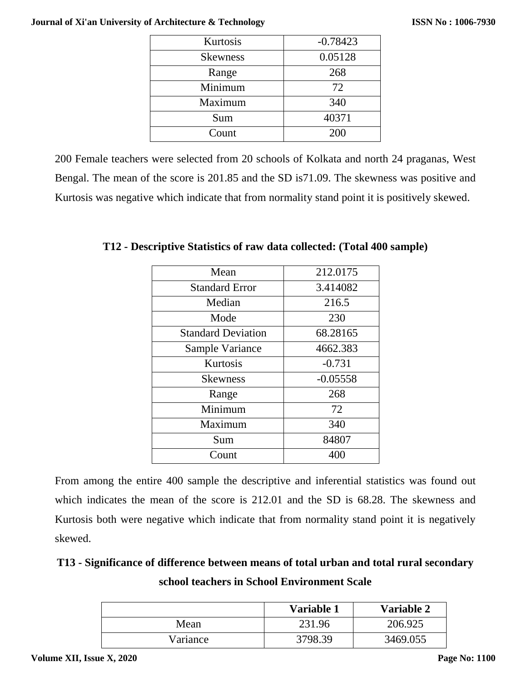| Kurtosis        | $-0.78423$ |
|-----------------|------------|
| <b>Skewness</b> | 0.05128    |
| Range           | 268        |
| Minimum         | 72         |
| Maximum         | 340        |
| Sum             | 40371      |
| Count           | 200        |

200 Female teachers were selected from 20 schools of Kolkata and north 24 praganas, West Bengal. The mean of the score is 201.85 and the SD is71.09. The skewness was positive and Kurtosis was negative which indicate that from normality stand point it is positively skewed.

| Mean                      | 212.0175   |  |
|---------------------------|------------|--|
| <b>Standard Error</b>     | 3.414082   |  |
| Median                    | 216.5      |  |
| Mode                      | 230        |  |
| <b>Standard Deviation</b> | 68.28165   |  |
| Sample Variance           | 4662.383   |  |
| Kurtosis                  | $-0.731$   |  |
| <b>Skewness</b>           | $-0.05558$ |  |
| Range                     | 268        |  |
| Minimum                   | 72         |  |
| Maximum                   | 340        |  |
| Sum                       | 84807      |  |
| Count                     | 400        |  |

**T12 - Descriptive Statistics of raw data collected: (Total 400 sample)**

From among the entire 400 sample the descriptive and inferential statistics was found out which indicates the mean of the score is 212.01 and the SD is 68.28. The skewness and Kurtosis both were negative which indicate that from normality stand point it is negatively skewed.

# **T13 - Significance of difference between means of total urban and total rural secondary school teachers in School Environment Scale**

|          | Variable 1 | Variable 2 |
|----------|------------|------------|
| Mean     | 231.96     | 206.925    |
| Variance | 3798.39    | 3469.055   |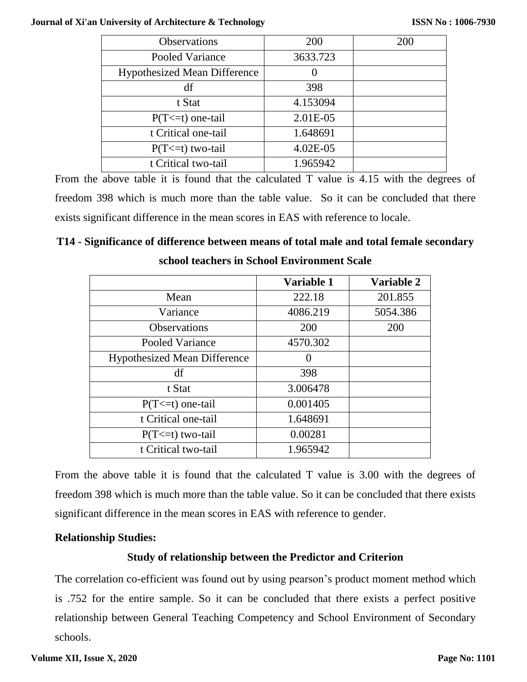| Observations                        | 200              | 200 |
|-------------------------------------|------------------|-----|
| Pooled Variance                     | 3633.723         |     |
| <b>Hypothesized Mean Difference</b> | $\left( \right)$ |     |
| df                                  | 398              |     |
| t Stat                              | 4.153094         |     |
| $P(T \le t)$ one-tail               | 2.01E-05         |     |
| t Critical one-tail                 | 1.648691         |     |
| $P(T \le t)$ two-tail               | $4.02E-05$       |     |
| t Critical two-tail                 | 1.965942         |     |

From the above table it is found that the calculated T value is 4.15 with the degrees of freedom 398 which is much more than the table value. So it can be concluded that there exists significant difference in the mean scores in EAS with reference to locale.

# **T14 - Significance of difference between means of total male and total female secondary school teachers in School Environment Scale**

|                                     | Variable 1        | Variable 2 |
|-------------------------------------|-------------------|------------|
| Mean                                | 222.18            | 201.855    |
| Variance                            | 4086.219          | 5054.386   |
| <b>Observations</b>                 | 200               | 200        |
| Pooled Variance                     | 4570.302          |            |
| <b>Hypothesized Mean Difference</b> | $\mathbf{\Omega}$ |            |
| df                                  | 398               |            |
| t Stat                              | 3.006478          |            |
| $P(T \le t)$ one-tail               | 0.001405          |            |
| t Critical one-tail                 | 1.648691          |            |
| $P(T \le t)$ two-tail               | 0.00281           |            |
| t Critical two-tail                 | 1.965942          |            |

From the above table it is found that the calculated T value is 3.00 with the degrees of freedom 398 which is much more than the table value. So it can be concluded that there exists significant difference in the mean scores in EAS with reference to gender.

## **Relationship Studies:**

# **Study of relationship between the Predictor and Criterion**

The correlation co-efficient was found out by using pearson's product moment method which is .752 for the entire sample. So it can be concluded that there exists a perfect positive relationship between General Teaching Competency and School Environment of Secondary schools.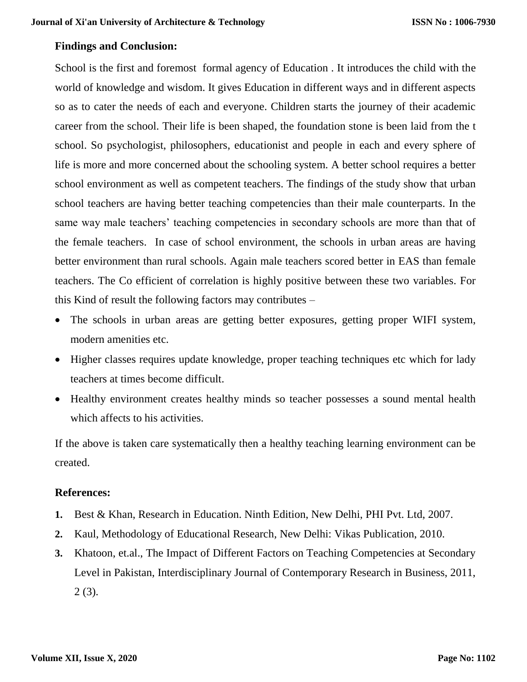#### **Findings and Conclusion:**

School is the first and foremost formal agency of Education . It introduces the child with the world of knowledge and wisdom. It gives Education in different ways and in different aspects so as to cater the needs of each and everyone. Children starts the journey of their academic career from the school. Their life is been shaped, the foundation stone is been laid from the t school. So psychologist, philosophers, educationist and people in each and every sphere of life is more and more concerned about the schooling system. A better school requires a better school environment as well as competent teachers. The findings of the study show that urban school teachers are having better teaching competencies than their male counterparts. In the same way male teachers' teaching competencies in secondary schools are more than that of the female teachers. In case of school environment, the schools in urban areas are having better environment than rural schools. Again male teachers scored better in EAS than female teachers. The Co efficient of correlation is highly positive between these two variables. For this Kind of result the following factors may contributes –

- The schools in urban areas are getting better exposures, getting proper WIFI system, modern amenities etc.
- Higher classes requires update knowledge, proper teaching techniques etc which for lady teachers at times become difficult.
- Healthy environment creates healthy minds so teacher possesses a sound mental health which affects to his activities.

If the above is taken care systematically then a healthy teaching learning environment can be created.

#### **References:**

- **1.** Best & Khan, Research in Education. Ninth Edition, New Delhi, PHI Pvt. Ltd, 2007.
- **2.** Kaul, Methodology of Educational Research*,* New Delhi: Vikas Publication, 2010.
- **3.** Khatoon, et.al., The Impact of Different Factors on Teaching Competencies at Secondary Level in Pakistan, Interdisciplinary Journal of Contemporary Research in Business, 2011, 2 (3).